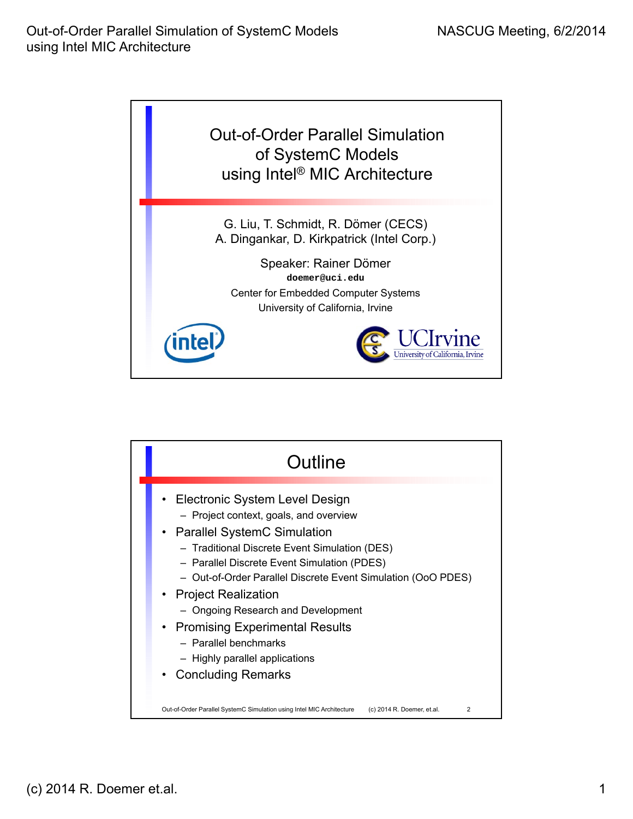

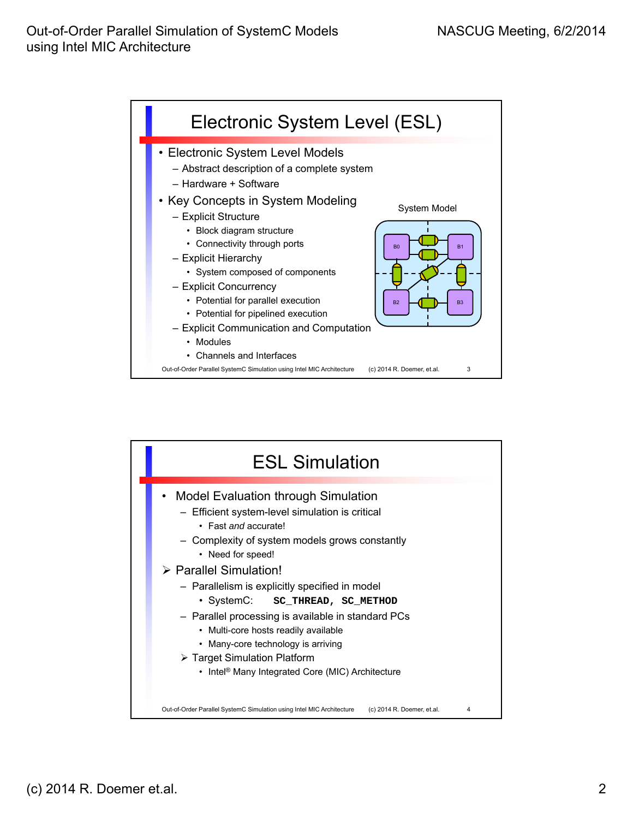

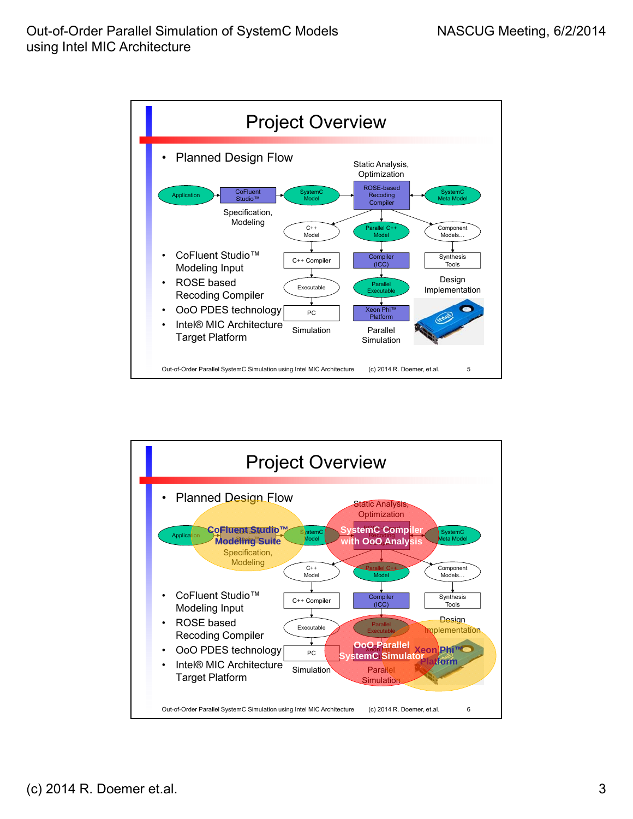

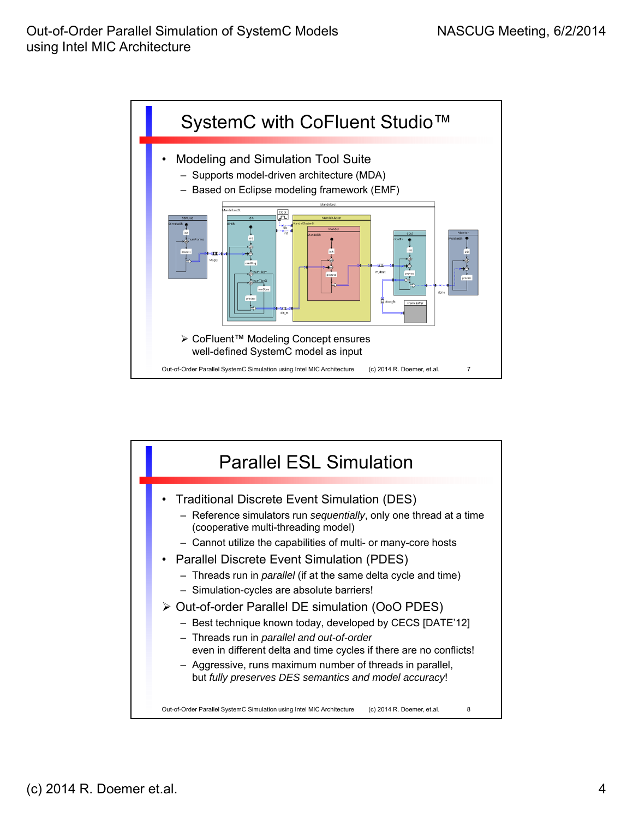

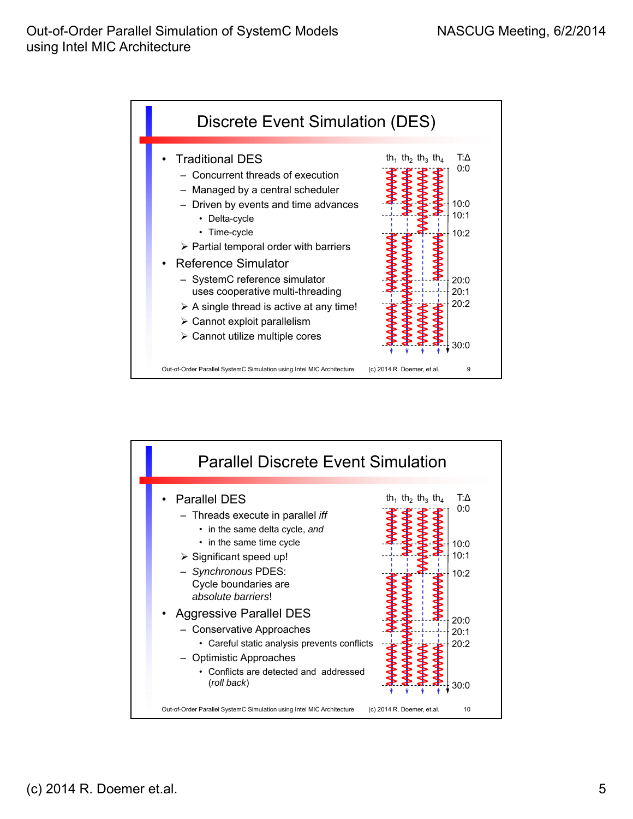

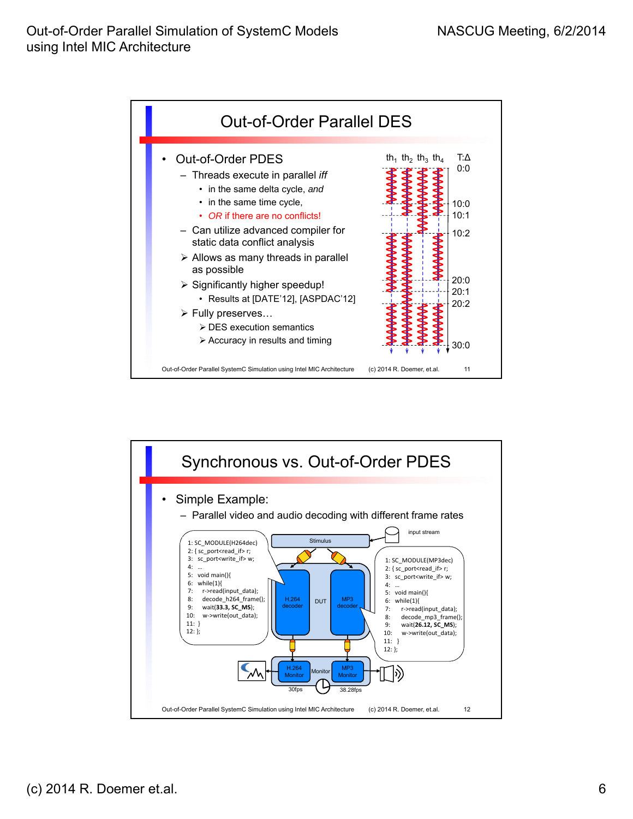

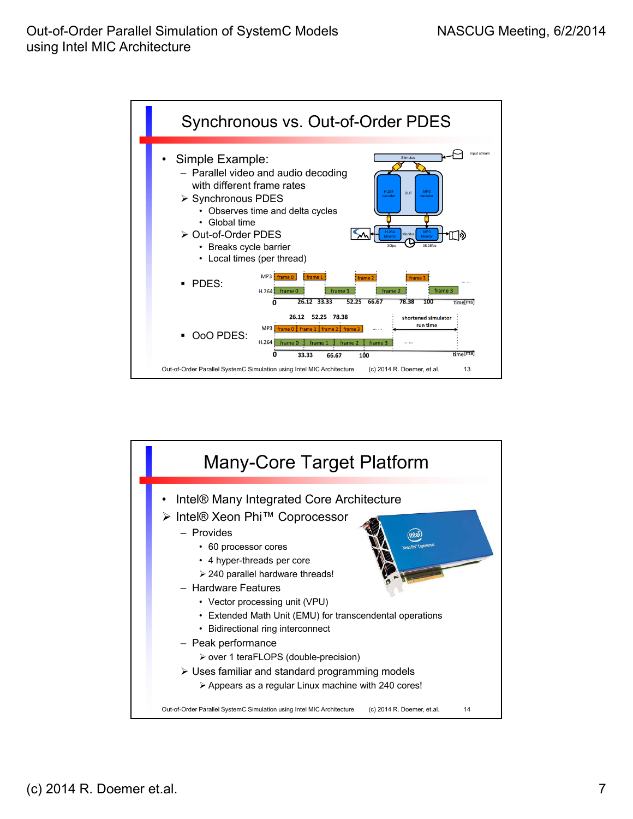

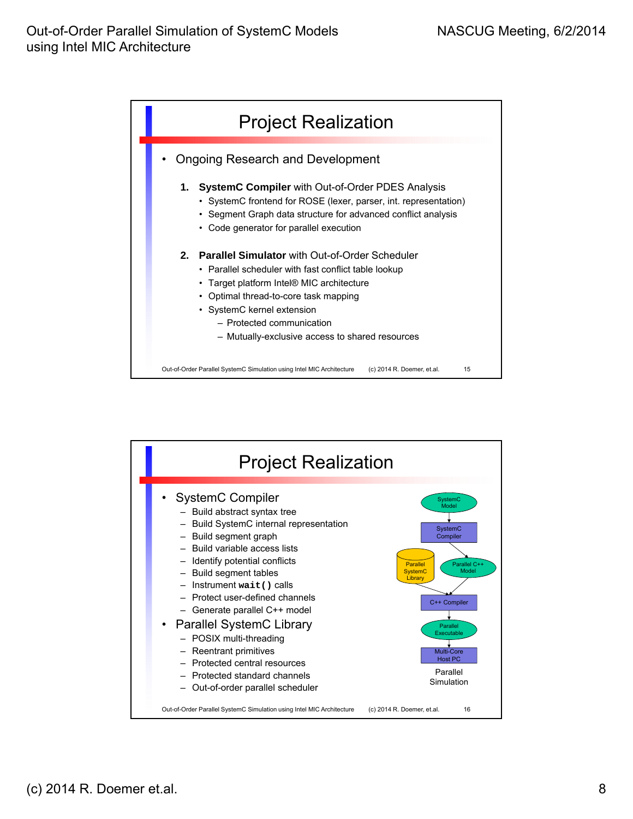

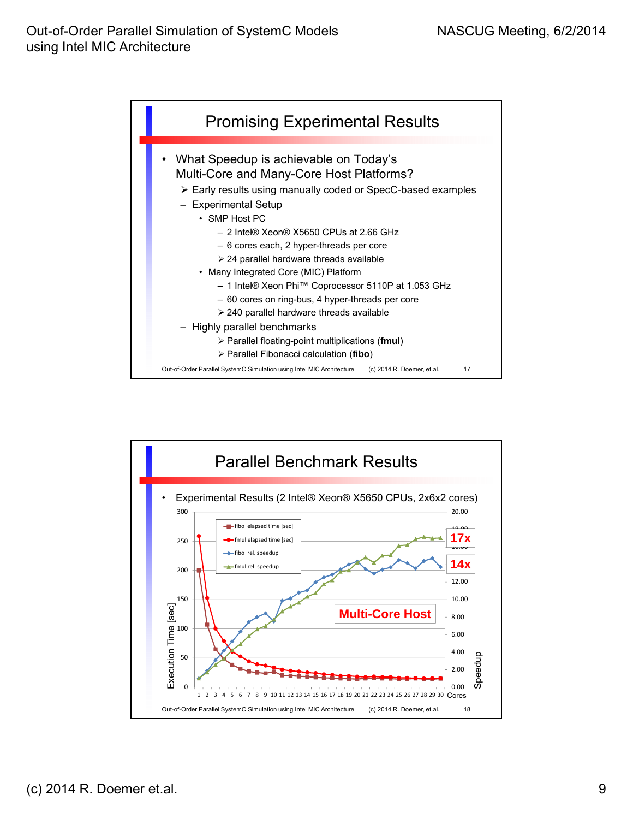

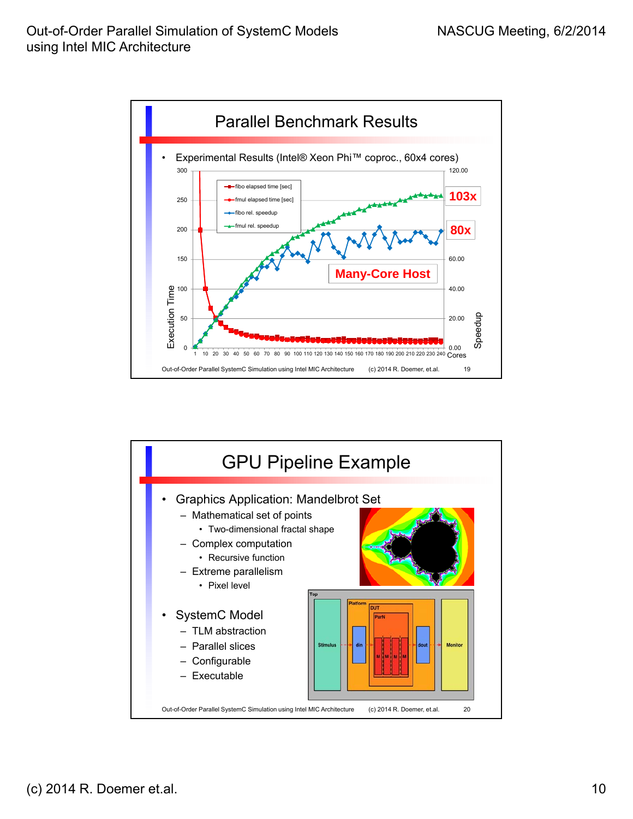

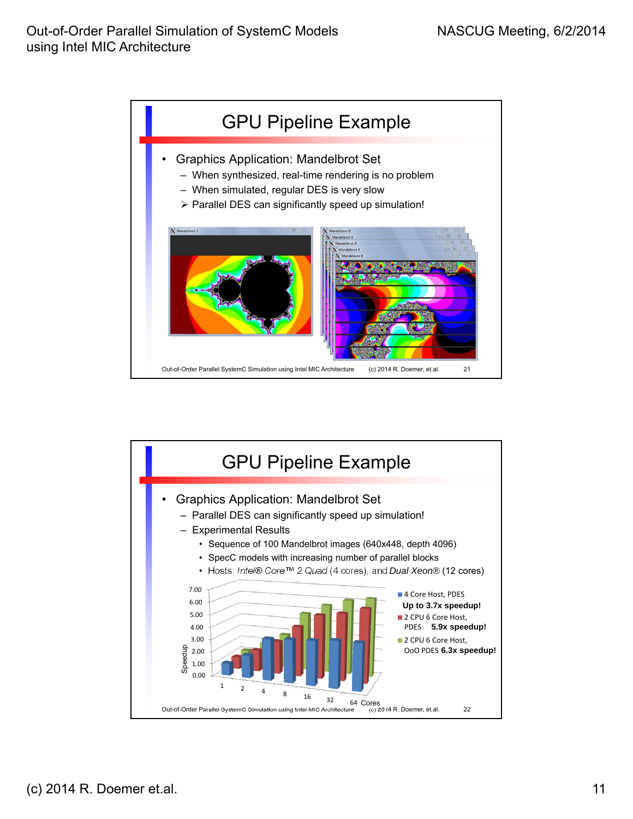

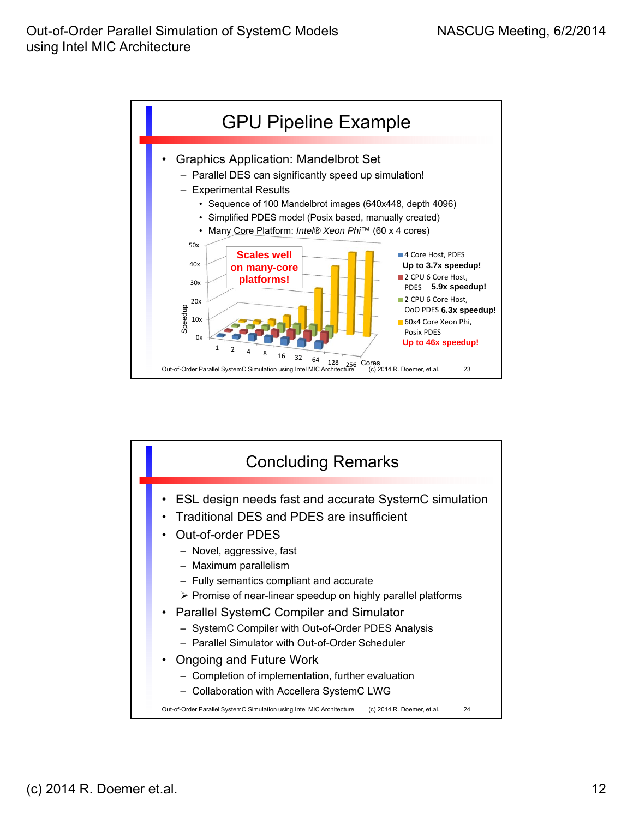